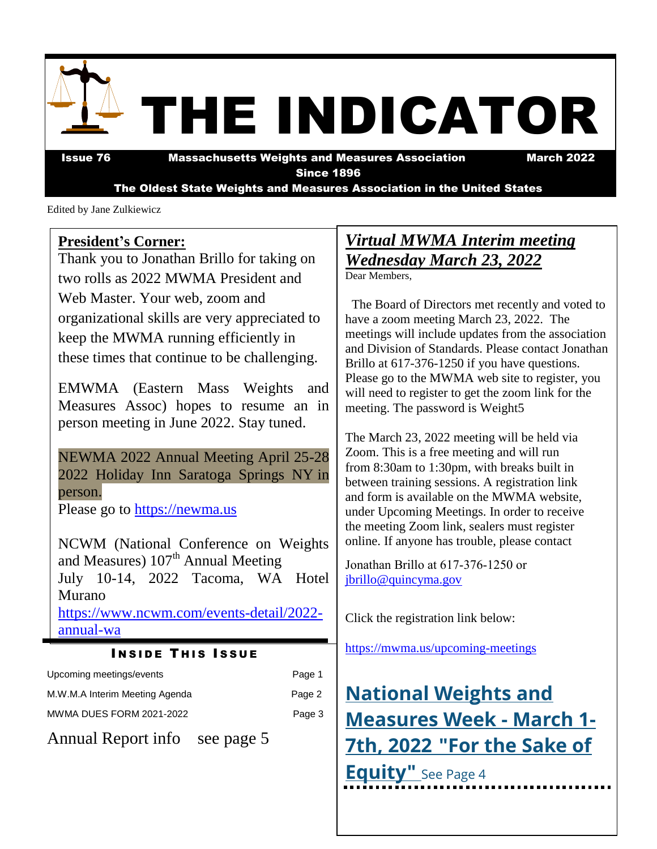

Edited by Jane Zulkiewicz

## **President's Corner:**

Thank you to Jonathan Brillo for taking on two rolls as 2022 MWMA President and Web Master. Your web, zoom and organizational skills are very appreciated to keep the MWMA running efficiently in these times that continue to be challenging.

EMWMA (Eastern Mass Weights and Measures Assoc) hopes to resume an in person meeting in June 2022. Stay tuned.

NEWMA 2022 Annual Meeting April 25-28 2022 Holiday Inn Saratoga Springs NY in person.

Please go to [https://newma.us](https://newma.us/)

NCWM (National Conference on Weights and Measures)  $107<sup>th</sup>$  Annual Meeting July 10-14, 2022 Tacoma, WA Hotel Murano

[https://www.ncwm.com/events-detail/2022](https://www.ncwm.com/events-detail/2022-annual-wa) [annual-wa](https://www.ncwm.com/events-detail/2022-annual-wa)

### **INSIDE THIS ISSUE**

| Upcoming meetings/events             | Page 1 |
|--------------------------------------|--------|
| M.W.M.A Interim Meeting Agenda       | Page 2 |
| <b>MWMA DUES FORM 2021-2022</b>      | Page 3 |
| $\sim$ $\sim$ $\sim$<br>$\mathbf{r}$ |        |

Annual Report info see page 5

## *Virtual MWMA Interim meeting Wednesday March 23, 2022* Dear Members,

The Board of Directors met recently and voted to have a zoom meeting March 23, 2022. The meetings will include updates from the association and Division of Standards. Please contact Jonathan Brillo at 617-376-1250 if you have questions. Please go to the MWMA web site to register, you will need to register to get the zoom link for the meeting. The password is Weight5

The March 23, 2022 meeting will be held via Zoom. This is a free meeting and will run from 8:30am to 1:30pm, with breaks built in between training sessions. A registration link and form is available on the MWMA website, under Upcoming Meetings. In order to receive the meeting Zoom link, sealers must register online. If anyone has trouble, please contact

Jonathan Brillo at 617‐376‐1250 or [jbrillo@quincyma.gov](mailto:jbrillo@quincyma.gov)

Click the registration link below:

<https://mwma.us/upcoming-meetings>

## **National Weights and Measures Week - March 1- 7th, 2022 "For the Sake of**

**Equity"** See Page 4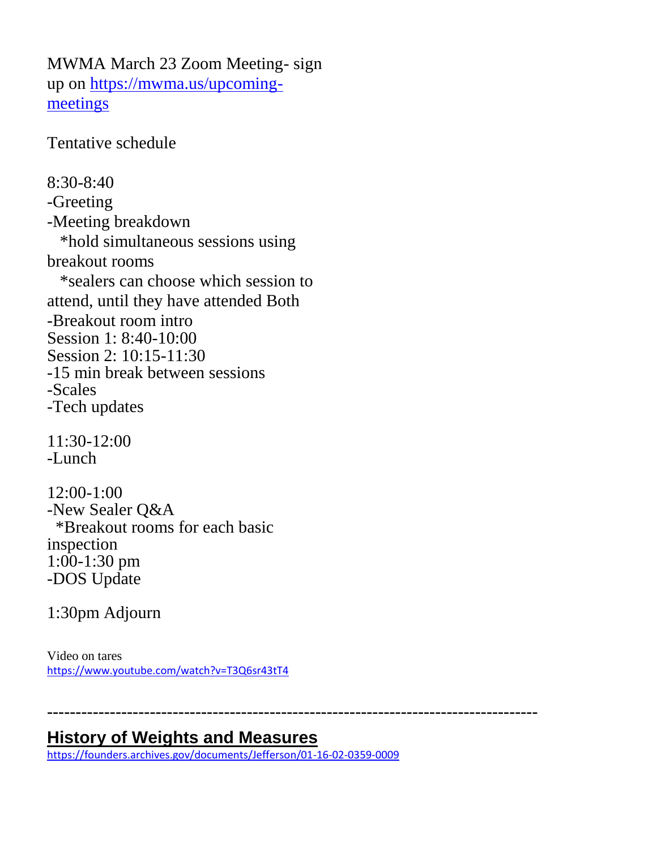MWMA March 23 Zoom Meeting- sign up on [https://mwma.us/upcoming](https://mwma.us/upcoming-meetings)[meetings](https://mwma.us/upcoming-meetings)

Tentative schedule

8:30-8:40 -Greeting -Meeting breakdown \*hold simultaneous sessions using breakout rooms \*sealers can choose which session to attend, until they have attended Both -Breakout room intro Session 1: 8:40-10:00 Session 2: 10:15-11:30 -15 min break between sessions -Scales -Tech updates

11:30-12:00 -Lunch

12:00-1:00 -New Sealer Q&A \*Breakout rooms for each basic inspection 1:00-1:30 pm -DOS Update

1:30pm Adjourn

Video on tares <https://www.youtube.com/watch?v=T3Q6sr43tT4>

**--------------------------------------------------------------------------------------**

## **History of Weights and Measures**

<https://founders.archives.gov/documents/Jefferson/01-16-02-0359-0009>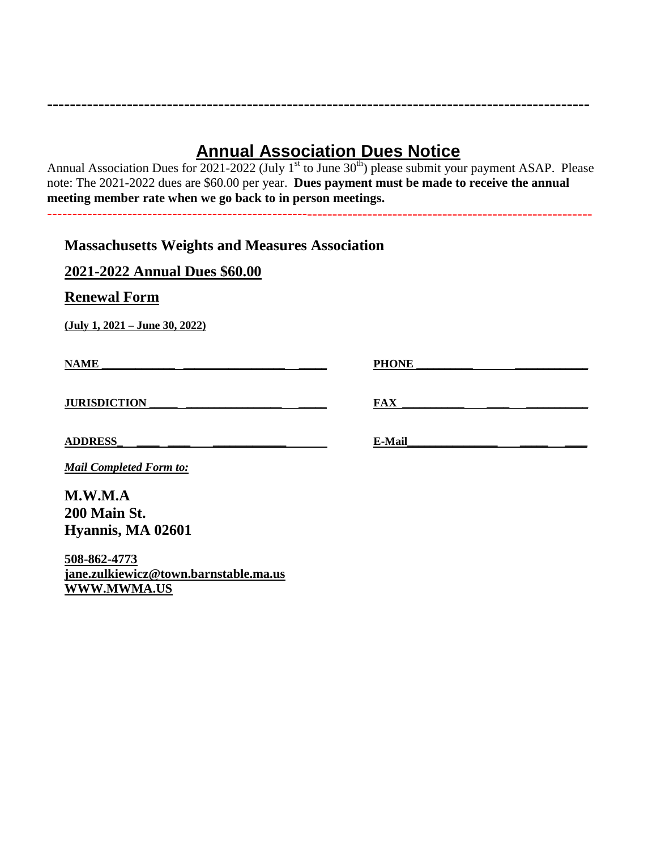## **Annual Association Dues Notice**

-------------------------------------------------------------------------------------------------------------

Annual Association Dues for  $2021-2022$  (July 1<sup>st</sup> to June  $30<sup>th</sup>$ ) please submit your payment ASAP. Please note: The 2021-2022 dues are \$60.00 per year. **Dues payment must be made to receive the annual meeting member rate when we go back to in person meetings.** 

**-----------------------------------------------------------------------------------------------**

**Massachusetts Weights and Measures Association**

**2021-2022 Annual Dues \$60.00** 

**Renewal Form**

**(July 1, 2021 – June 30, 2022)**

**NAME \_\_\_\_\_\_\_\_\_\_\_\_\_ \_\_\_\_\_\_\_\_\_\_\_\_\_\_\_\_\_\_ \_\_\_\_\_ PHONE \_\_\_\_\_\_\_\_\_\_ \_\_\_\_\_\_\_\_\_\_\_\_\_**

**JURISDICTION \_\_\_\_\_ \_\_\_\_\_\_\_\_\_\_\_\_\_\_\_\_\_ \_\_\_\_\_ FAX \_\_\_\_\_\_\_\_\_\_\_ \_\_\_\_ \_\_\_\_\_\_\_\_\_\_\_**

ADDRESS **E-Mail** 

*Mail Completed Form to:*

**M.W.M.A 200 Main St. Hyannis, MA 02601**

**508-862-4773 jane.zulkiewicz@town.barnstable.ma.us [WWW.MWMA.US](http://www.mwma.us/)**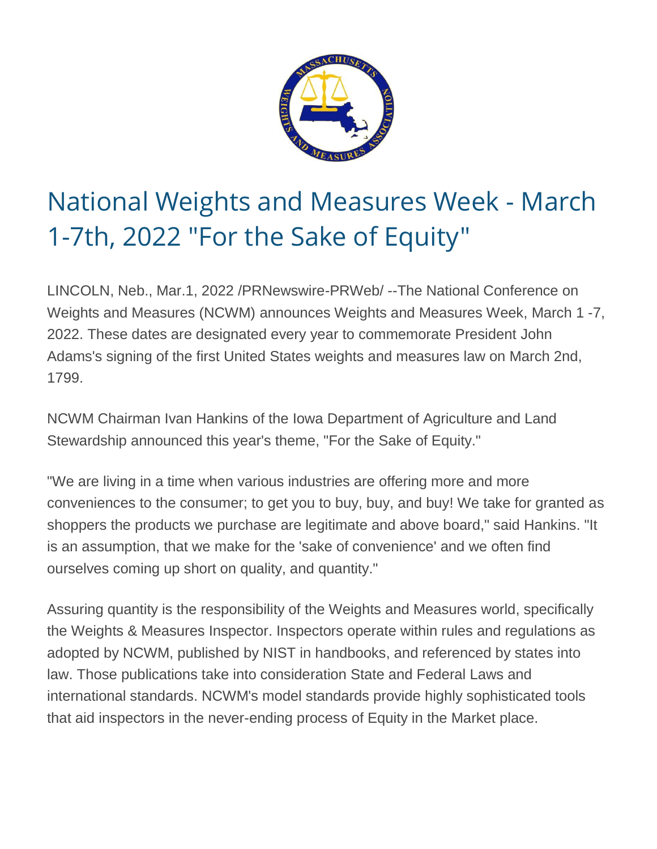

# National Weights and Measures Week - March 1-7th, 2022 "For the Sake of Equity"

LINCOLN, Neb., Mar.1, 2022 /PRNewswire-PRWeb/ --The National Conference on Weights and Measures (NCWM) announces Weights and Measures Week, March 1 -7, 2022. These dates are designated every year to commemorate President John Adams's signing of the first United States weights and measures law on March 2nd, 1799.

NCWM Chairman Ivan Hankins of the Iowa Department of Agriculture and Land Stewardship announced this year's theme, "For the Sake of Equity."

"We are living in a time when various industries are offering more and more conveniences to the consumer; to get you to buy, buy, and buy! We take for granted as shoppers the products we purchase are legitimate and above board," said Hankins. "It is an assumption, that we make for the 'sake of convenience' and we often find ourselves coming up short on quality, and quantity."

Assuring quantity is the responsibility of the Weights and Measures world, specifically the Weights & Measures Inspector. Inspectors operate within rules and regulations as adopted by NCWM, published by NIST in handbooks, and referenced by states into law. Those publications take into consideration State and Federal Laws and international standards. NCWM's model standards provide highly sophisticated tools that aid inspectors in the never-ending process of Equity in the Market place.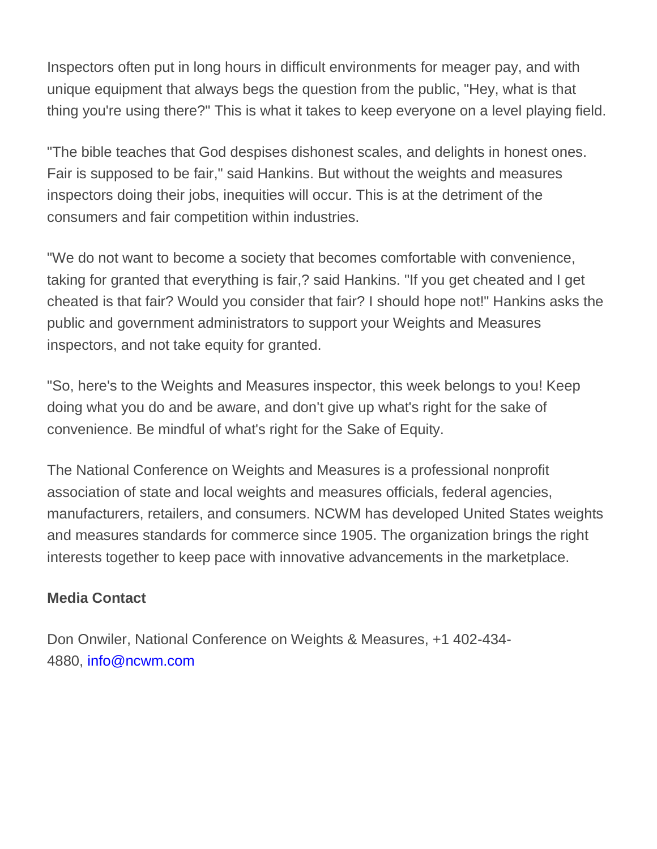Inspectors often put in long hours in difficult environments for meager pay, and with unique equipment that always begs the question from the public, "Hey, what is that thing you're using there?" This is what it takes to keep everyone on a level playing field.

"The bible teaches that God despises dishonest scales, and delights in honest ones. Fair is supposed to be fair," said Hankins. But without the weights and measures inspectors doing their jobs, inequities will occur. This is at the detriment of the consumers and fair competition within industries.

"We do not want to become a society that becomes comfortable with convenience, taking for granted that everything is fair,? said Hankins. "If you get cheated and I get cheated is that fair? Would you consider that fair? I should hope not!" Hankins asks the public and government administrators to support your Weights and Measures inspectors, and not take equity for granted.

"So, here's to the Weights and Measures inspector, this week belongs to you! Keep doing what you do and be aware, and don't give up what's right for the sake of convenience. Be mindful of what's right for the Sake of Equity.

The National Conference on Weights and Measures is a professional nonprofit association of state and local weights and measures officials, federal agencies, manufacturers, retailers, and consumers. NCWM has developed United States weights and measures standards for commerce since 1905. The organization brings the right interests together to keep pace with innovative advancements in the marketplace.

## **Media Contact**

Don Onwiler, National Conference on Weights & Measures, +1 402-434- 4880, [info@ncwm.com](mailto:info@ncwm.com)